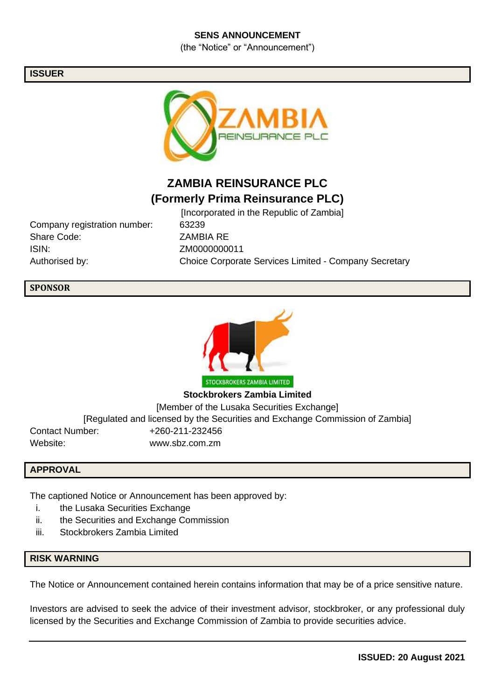## **SENS ANNOUNCEMENT**

(the "Notice" or "Announcement")

### **ISSUER**



# **ZAMBIA REINSURANCE PLC (Formerly Prima Reinsurance PLC)**

Company registration number: 63239 Share Code: ZAMBIA RE ISIN: ZM0000000011

[Incorporated in the Republic of Zambia] Authorised by: Choice Corporate Services Limited - Company Secretary

## **SPONSOR**



**Stockbrokers Zambia Limited** [Member of the Lusaka Securities Exchange] [Regulated and licensed by the Securities and Exchange Commission of Zambia] Contact Number: +260-211-232456 Website: www.sbz.com.zm

#### **APPROVAL**

The captioned Notice or Announcement has been approved by:

- i. the Lusaka Securities Exchange
- ii. the Securities and Exchange Commission
- iii. Stockbrokers Zambia Limited

## **RISK WARNING**

The Notice or Announcement contained herein contains information that may be of a price sensitive nature.

Investors are advised to seek the advice of their investment advisor, stockbroker, or any professional duly licensed by the Securities and Exchange Commission of Zambia to provide securities advice.